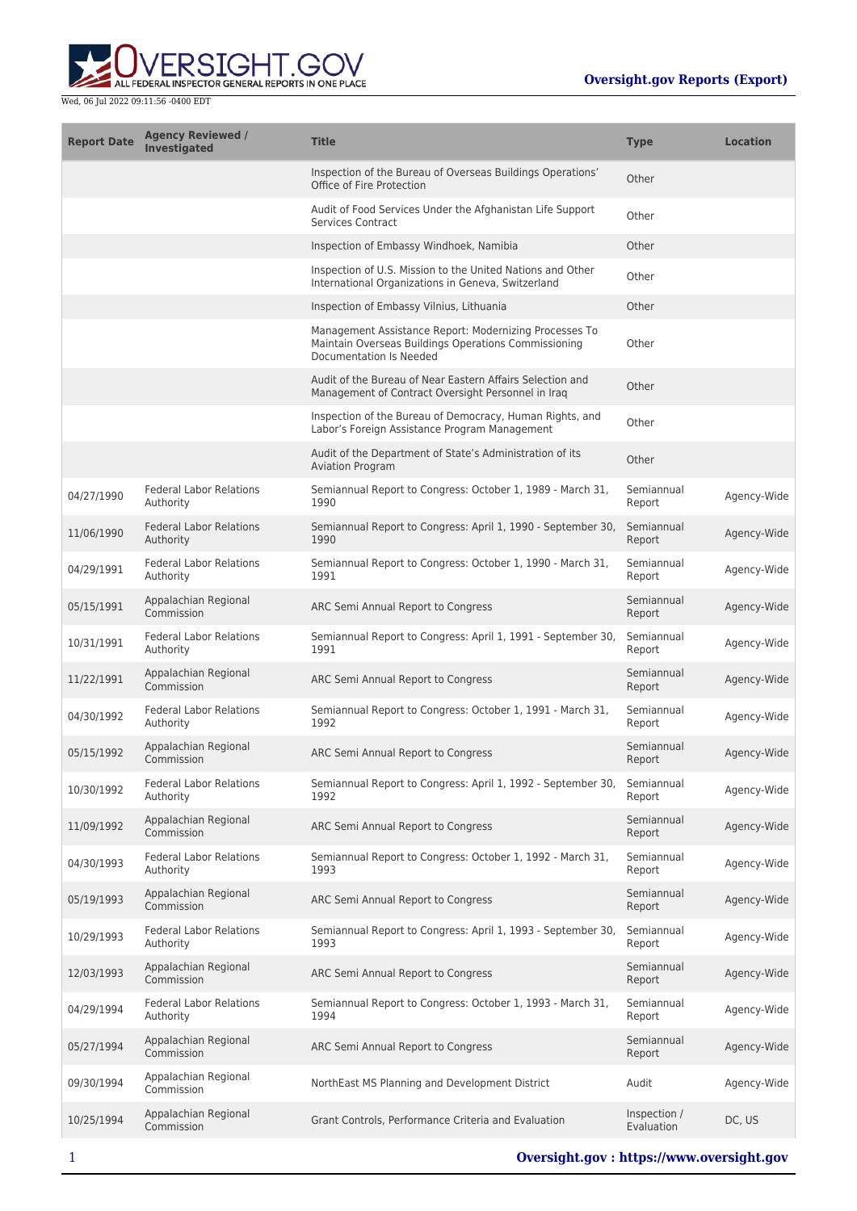

| <b>Report Date</b> | <b>Agency Reviewed /</b><br><b>Investigated</b> | <b>Title</b>                                                                                                                              | <b>Type</b>                | <b>Location</b> |
|--------------------|-------------------------------------------------|-------------------------------------------------------------------------------------------------------------------------------------------|----------------------------|-----------------|
|                    |                                                 | Inspection of the Bureau of Overseas Buildings Operations'<br>Office of Fire Protection                                                   | Other                      |                 |
|                    |                                                 | Audit of Food Services Under the Afghanistan Life Support<br><b>Services Contract</b>                                                     | Other                      |                 |
|                    |                                                 | Inspection of Embassy Windhoek, Namibia                                                                                                   | Other                      |                 |
|                    |                                                 | Inspection of U.S. Mission to the United Nations and Other<br>International Organizations in Geneva, Switzerland                          | Other                      |                 |
|                    |                                                 | Inspection of Embassy Vilnius, Lithuania                                                                                                  | Other                      |                 |
|                    |                                                 | Management Assistance Report: Modernizing Processes To<br>Maintain Overseas Buildings Operations Commissioning<br>Documentation Is Needed | Other                      |                 |
|                    |                                                 | Audit of the Bureau of Near Eastern Affairs Selection and<br>Management of Contract Oversight Personnel in Iraq                           | Other                      |                 |
|                    |                                                 | Inspection of the Bureau of Democracy, Human Rights, and<br>Labor's Foreign Assistance Program Management                                 | Other                      |                 |
|                    |                                                 | Audit of the Department of State's Administration of its<br><b>Aviation Program</b>                                                       | Other                      |                 |
| 04/27/1990         | <b>Federal Labor Relations</b><br>Authority     | Semiannual Report to Congress: October 1, 1989 - March 31,<br>1990                                                                        | Semiannual<br>Report       | Agency-Wide     |
| 11/06/1990         | <b>Federal Labor Relations</b><br>Authority     | Semiannual Report to Congress: April 1, 1990 - September 30,<br>1990                                                                      | Semiannual<br>Report       | Agency-Wide     |
| 04/29/1991         | <b>Federal Labor Relations</b><br>Authority     | Semiannual Report to Congress: October 1, 1990 - March 31,<br>1991                                                                        | Semiannual<br>Report       | Agency-Wide     |
| 05/15/1991         | Appalachian Regional<br>Commission              | ARC Semi Annual Report to Congress                                                                                                        | Semiannual<br>Report       | Agency-Wide     |
| 10/31/1991         | <b>Federal Labor Relations</b><br>Authority     | Semiannual Report to Congress: April 1, 1991 - September 30,<br>1991                                                                      | Semiannual<br>Report       | Agency-Wide     |
| 11/22/1991         | Appalachian Regional<br>Commission              | ARC Semi Annual Report to Congress                                                                                                        | Semiannual<br>Report       | Agency-Wide     |
| 04/30/1992         | <b>Federal Labor Relations</b><br>Authority     | Semiannual Report to Congress: October 1, 1991 - March 31,<br>1992                                                                        | Semiannual<br>Report       | Agency-Wide     |
| 05/15/1992         | Appalachian Regional<br>Commission              | ARC Semi Annual Report to Congress                                                                                                        | Semiannual<br>Report       | Agency-Wide     |
| 10/30/1992         | <b>Federal Labor Relations</b><br>Authority     | Semiannual Report to Congress: April 1, 1992 - September 30,<br>1992                                                                      | Semiannual<br>Report       | Agency-Wide     |
| 11/09/1992         | Appalachian Regional<br>Commission              | ARC Semi Annual Report to Congress                                                                                                        | Semiannual<br>Report       | Agency-Wide     |
| 04/30/1993         | <b>Federal Labor Relations</b><br>Authority     | Semiannual Report to Congress: October 1, 1992 - March 31,<br>1993                                                                        | Semiannual<br>Report       | Agency-Wide     |
| 05/19/1993         | Appalachian Regional<br>Commission              | ARC Semi Annual Report to Congress                                                                                                        | Semiannual<br>Report       | Agency-Wide     |
| 10/29/1993         | <b>Federal Labor Relations</b><br>Authority     | Semiannual Report to Congress: April 1, 1993 - September 30,<br>1993                                                                      | Semiannual<br>Report       | Agency-Wide     |
| 12/03/1993         | Appalachian Regional<br>Commission              | ARC Semi Annual Report to Congress                                                                                                        | Semiannual<br>Report       | Agency-Wide     |
| 04/29/1994         | <b>Federal Labor Relations</b><br>Authority     | Semiannual Report to Congress: October 1, 1993 - March 31,<br>1994                                                                        | Semiannual<br>Report       | Agency-Wide     |
| 05/27/1994         | Appalachian Regional<br>Commission              | ARC Semi Annual Report to Congress                                                                                                        | Semiannual<br>Report       | Agency-Wide     |
| 09/30/1994         | Appalachian Regional<br>Commission              | NorthEast MS Planning and Development District                                                                                            | Audit                      | Agency-Wide     |
| 10/25/1994         | Appalachian Regional<br>Commission              | Grant Controls, Performance Criteria and Evaluation                                                                                       | Inspection /<br>Evaluation | DC, US          |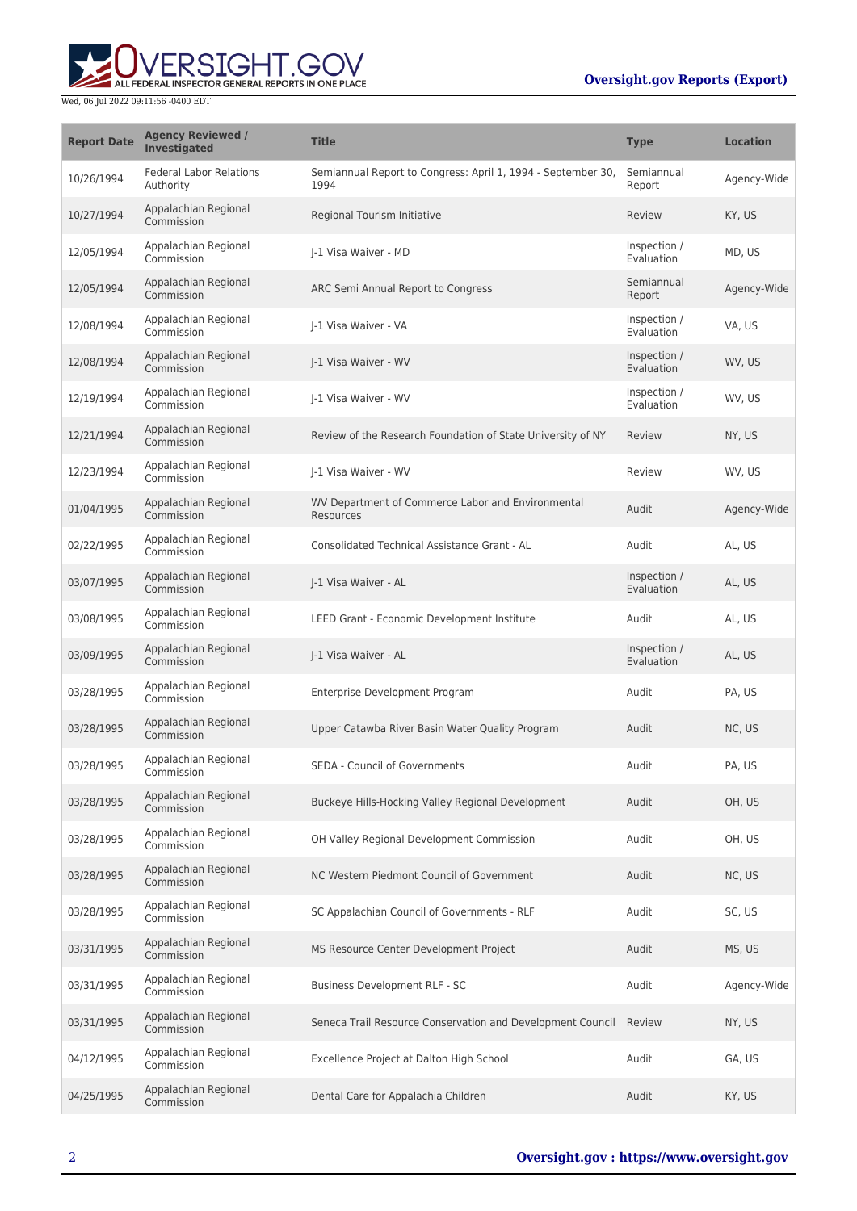## **Oversight.gov Reports (Export)**



| <b>Report Date</b> | <b>Agency Reviewed /</b><br>Investigated    | <b>Title</b>                                                         | <b>Type</b>                | <b>Location</b> |
|--------------------|---------------------------------------------|----------------------------------------------------------------------|----------------------------|-----------------|
| 10/26/1994         | <b>Federal Labor Relations</b><br>Authority | Semiannual Report to Congress: April 1, 1994 - September 30,<br>1994 | Semiannual<br>Report       | Agency-Wide     |
| 10/27/1994         | Appalachian Regional<br>Commission          | Regional Tourism Initiative                                          | Review                     | KY, US          |
| 12/05/1994         | Appalachian Regional<br>Commission          | J-1 Visa Waiver - MD                                                 | Inspection /<br>Evaluation | MD, US          |
| 12/05/1994         | Appalachian Regional<br>Commission          | ARC Semi Annual Report to Congress                                   | Semiannual<br>Report       | Agency-Wide     |
| 12/08/1994         | Appalachian Regional<br>Commission          | J-1 Visa Waiver - VA                                                 | Inspection /<br>Evaluation | VA, US          |
| 12/08/1994         | Appalachian Regional<br>Commission          | J-1 Visa Waiver - WV                                                 | Inspection /<br>Evaluation | WV, US          |
| 12/19/1994         | Appalachian Regional<br>Commission          | J-1 Visa Waiver - WV                                                 | Inspection /<br>Evaluation | WV, US          |
| 12/21/1994         | Appalachian Regional<br>Commission          | Review of the Research Foundation of State University of NY          | Review                     | NY, US          |
| 12/23/1994         | Appalachian Regional<br>Commission          | I-1 Visa Waiver - WV                                                 | Review                     | WV, US          |
| 01/04/1995         | Appalachian Regional<br>Commission          | WV Department of Commerce Labor and Environmental<br>Resources       | Audit                      | Agency-Wide     |
| 02/22/1995         | Appalachian Regional<br>Commission          | Consolidated Technical Assistance Grant - AL                         | Audit                      | AL, US          |
| 03/07/1995         | Appalachian Regional<br>Commission          | J-1 Visa Waiver - AL                                                 | Inspection /<br>Evaluation | AL, US          |
| 03/08/1995         | Appalachian Regional<br>Commission          | LEED Grant - Economic Development Institute                          | Audit                      | AL, US          |
| 03/09/1995         | Appalachian Regional<br>Commission          | J-1 Visa Waiver - AL                                                 | Inspection /<br>Evaluation | AL, US          |
| 03/28/1995         | Appalachian Regional<br>Commission          | Enterprise Development Program                                       | Audit                      | PA, US          |
| 03/28/1995         | Appalachian Regional<br>Commission          | Upper Catawba River Basin Water Quality Program                      | Audit                      | NC, US          |
| 03/28/1995         | Appalachian Regional<br>Commission          | <b>SEDA - Council of Governments</b>                                 | Audit                      | PA, US          |
| 03/28/1995         | Appalachian Regional<br>Commission          | Buckeye Hills-Hocking Valley Regional Development                    | Audit                      | OH, US          |
| 03/28/1995         | Appalachian Regional<br>Commission          | OH Valley Regional Development Commission                            | Audit                      | OH, US          |
| 03/28/1995         | Appalachian Regional<br>Commission          | NC Western Piedmont Council of Government                            | Audit                      | NC, US          |
| 03/28/1995         | Appalachian Regional<br>Commission          | SC Appalachian Council of Governments - RLF                          | Audit                      | SC, US          |
| 03/31/1995         | Appalachian Regional<br>Commission          | MS Resource Center Development Project                               | Audit                      | MS, US          |
| 03/31/1995         | Appalachian Regional<br>Commission          | <b>Business Development RLF - SC</b>                                 | Audit                      | Agency-Wide     |
| 03/31/1995         | Appalachian Regional<br>Commission          | Seneca Trail Resource Conservation and Development Council           | Review                     | NY, US          |
| 04/12/1995         | Appalachian Regional<br>Commission          | Excellence Project at Dalton High School                             | Audit                      | GA, US          |
| 04/25/1995         | Appalachian Regional<br>Commission          | Dental Care for Appalachia Children                                  | Audit                      | KY, US          |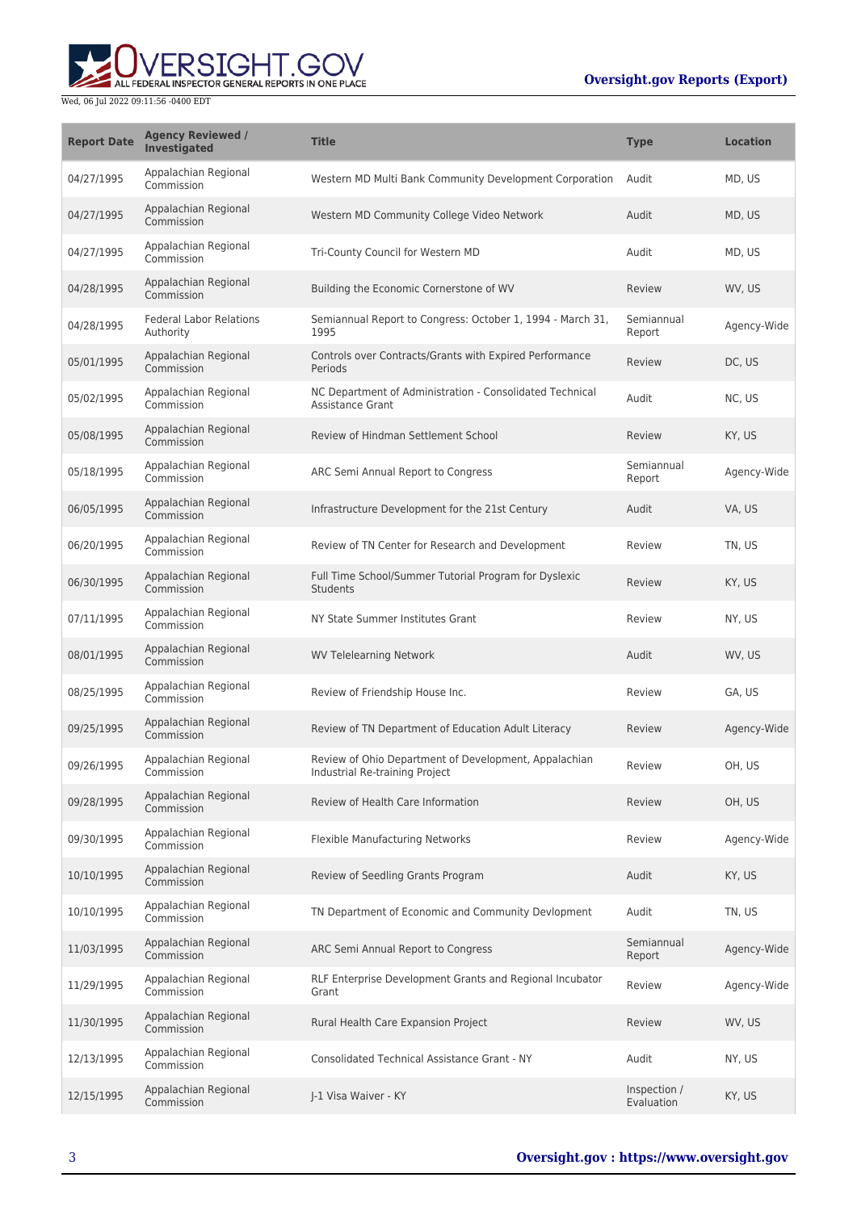## **Oversight.gov Reports (Export)**



| <b>Report Date</b> | <b>Agency Reviewed /</b><br><b>Investigated</b> | <b>Title</b>                                                                            | <b>Type</b>                | <b>Location</b> |
|--------------------|-------------------------------------------------|-----------------------------------------------------------------------------------------|----------------------------|-----------------|
| 04/27/1995         | Appalachian Regional<br>Commission              | Western MD Multi Bank Community Development Corporation                                 | Audit                      | MD, US          |
| 04/27/1995         | Appalachian Regional<br>Commission              | Western MD Community College Video Network                                              | Audit                      | MD, US          |
| 04/27/1995         | Appalachian Regional<br>Commission              | Tri-County Council for Western MD                                                       | Audit                      | MD, US          |
| 04/28/1995         | Appalachian Regional<br>Commission              | Building the Economic Cornerstone of WV                                                 | Review                     | WV, US          |
| 04/28/1995         | <b>Federal Labor Relations</b><br>Authority     | Semiannual Report to Congress: October 1, 1994 - March 31,<br>1995                      | Semiannual<br>Report       | Agency-Wide     |
| 05/01/1995         | Appalachian Regional<br>Commission              | Controls over Contracts/Grants with Expired Performance<br>Periods                      | Review                     | DC, US          |
| 05/02/1995         | Appalachian Regional<br>Commission              | NC Department of Administration - Consolidated Technical<br><b>Assistance Grant</b>     | Audit                      | NC, US          |
| 05/08/1995         | Appalachian Regional<br>Commission              | Review of Hindman Settlement School                                                     | Review                     | KY, US          |
| 05/18/1995         | Appalachian Regional<br>Commission              | ARC Semi Annual Report to Congress                                                      | Semiannual<br>Report       | Agency-Wide     |
| 06/05/1995         | Appalachian Regional<br>Commission              | Infrastructure Development for the 21st Century                                         | Audit                      | VA, US          |
| 06/20/1995         | Appalachian Regional<br>Commission              | Review of TN Center for Research and Development                                        | Review                     | TN, US          |
| 06/30/1995         | Appalachian Regional<br>Commission              | Full Time School/Summer Tutorial Program for Dyslexic<br>Students                       | Review                     | KY, US          |
| 07/11/1995         | Appalachian Regional<br>Commission              | NY State Summer Institutes Grant                                                        | Review                     | NY, US          |
| 08/01/1995         | Appalachian Regional<br>Commission              | <b>WV Telelearning Network</b>                                                          | Audit                      | WV, US          |
| 08/25/1995         | Appalachian Regional<br>Commission              | Review of Friendship House Inc.                                                         | Review                     | GA, US          |
| 09/25/1995         | Appalachian Regional<br>Commission              | Review of TN Department of Education Adult Literacy                                     | Review                     | Agency-Wide     |
| 09/26/1995         | Appalachian Regional<br>Commission              | Review of Ohio Department of Development, Appalachian<br>Industrial Re-training Project | Review                     | OH, US          |
| 09/28/1995         | Appalachian Regional<br>Commission              | Review of Health Care Information                                                       | Review                     | OH, US          |
| 09/30/1995         | Appalachian Regional<br>Commission              | Flexible Manufacturing Networks                                                         | Review                     | Agency-Wide     |
| 10/10/1995         | Appalachian Regional<br>Commission              | Review of Seedling Grants Program                                                       | Audit                      | KY, US          |
| 10/10/1995         | Appalachian Regional<br>Commission              | TN Department of Economic and Community Devlopment                                      | Audit                      | TN, US          |
| 11/03/1995         | Appalachian Regional<br>Commission              | ARC Semi Annual Report to Congress                                                      | Semiannual<br>Report       | Agency-Wide     |
| 11/29/1995         | Appalachian Regional<br>Commission              | RLF Enterprise Development Grants and Regional Incubator<br>Grant                       | Review                     | Agency-Wide     |
| 11/30/1995         | Appalachian Regional<br>Commission              | Rural Health Care Expansion Project                                                     | Review                     | WV, US          |
| 12/13/1995         | Appalachian Regional<br>Commission              | <b>Consolidated Technical Assistance Grant - NY</b>                                     | Audit                      | NY, US          |
| 12/15/1995         | Appalachian Regional<br>Commission              | J-1 Visa Waiver - KY                                                                    | Inspection /<br>Evaluation | KY, US          |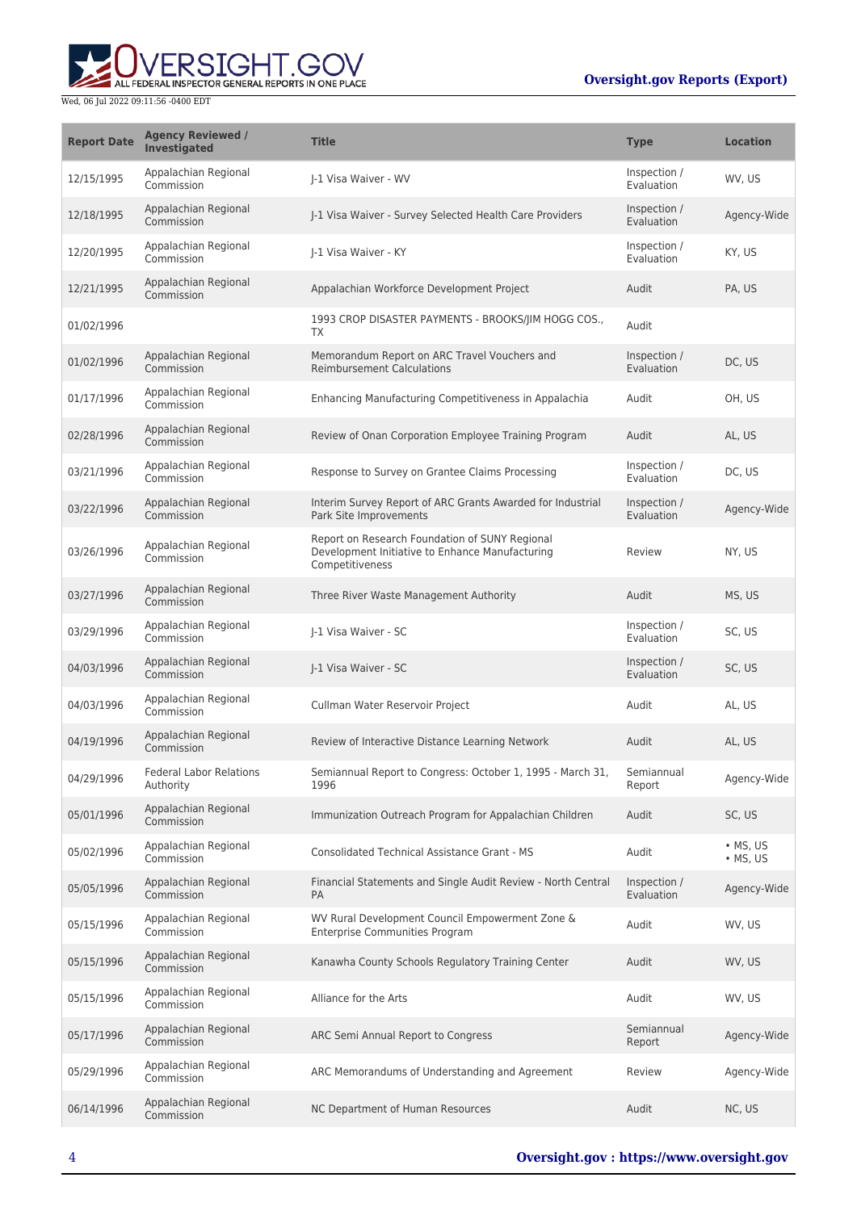# **RSIGHT.GOV** ALL FEDERAL INSPECTOR GENERAL REPORTS IN ONE PLACE

| <b>Report Date</b> | <b>Agency Reviewed /</b><br>Investigated | <b>Title</b>                                                                                                         | <b>Type</b>                | <b>Location</b>                      |
|--------------------|------------------------------------------|----------------------------------------------------------------------------------------------------------------------|----------------------------|--------------------------------------|
| 12/15/1995         | Appalachian Regional<br>Commission       | I-1 Visa Waiver - WV                                                                                                 | Inspection /<br>Evaluation | WV, US                               |
| 12/18/1995         | Appalachian Regional<br>Commission       | J-1 Visa Waiver - Survey Selected Health Care Providers                                                              | Inspection /<br>Evaluation | Agency-Wide                          |
| 12/20/1995         | Appalachian Regional<br>Commission       | I-1 Visa Waiver - KY                                                                                                 | Inspection /<br>Evaluation | KY, US                               |
| 12/21/1995         | Appalachian Regional<br>Commission       | Appalachian Workforce Development Project                                                                            | Audit                      | PA, US                               |
| 01/02/1996         |                                          | 1993 CROP DISASTER PAYMENTS - BROOKS/JIM HOGG COS.,<br><b>TX</b>                                                     | Audit                      |                                      |
| 01/02/1996         | Appalachian Regional<br>Commission       | Memorandum Report on ARC Travel Vouchers and<br><b>Reimbursement Calculations</b>                                    | Inspection /<br>Evaluation | DC, US                               |
| 01/17/1996         | Appalachian Regional<br>Commission       | Enhancing Manufacturing Competitiveness in Appalachia                                                                | Audit                      | OH, US                               |
| 02/28/1996         | Appalachian Regional<br>Commission       | Review of Onan Corporation Employee Training Program                                                                 | Audit                      | AL, US                               |
| 03/21/1996         | Appalachian Regional<br>Commission       | Response to Survey on Grantee Claims Processing                                                                      | Inspection /<br>Evaluation | DC. US                               |
| 03/22/1996         | Appalachian Regional<br>Commission       | Interim Survey Report of ARC Grants Awarded for Industrial<br>Park Site Improvements                                 | Inspection /<br>Evaluation | Agency-Wide                          |
| 03/26/1996         | Appalachian Regional<br>Commission       | Report on Research Foundation of SUNY Regional<br>Development Initiative to Enhance Manufacturing<br>Competitiveness | Review                     | NY, US                               |
| 03/27/1996         | Appalachian Regional<br>Commission       | Three River Waste Management Authority                                                                               | Audit                      | MS, US                               |
| 03/29/1996         | Appalachian Regional<br>Commission       | I-1 Visa Waiver - SC                                                                                                 | Inspection /<br>Evaluation | SC, US                               |
| 04/03/1996         | Appalachian Regional<br>Commission       | J-1 Visa Waiver - SC                                                                                                 | Inspection /<br>Evaluation | SC, US                               |
| 04/03/1996         | Appalachian Regional<br>Commission       | Cullman Water Reservoir Project                                                                                      | Audit                      | AL, US                               |
| 04/19/1996         | Appalachian Regional<br>Commission       | Review of Interactive Distance Learning Network                                                                      | Audit                      | AL, US                               |
| 04/29/1996         | Federal Labor Relations<br>Authority     | Semiannual Report to Congress: October 1, 1995 - March 31,<br>1996                                                   | Semiannual<br>Report       | Agency-Wide                          |
| 05/01/1996         | Appalachian Regional<br>Commission       | Immunization Outreach Program for Appalachian Children                                                               | Audit                      | SC, US                               |
| 05/02/1996         | Appalachian Regional<br>Commission       | <b>Consolidated Technical Assistance Grant - MS</b>                                                                  | Audit                      | $\bullet$ MS, US<br>$\bullet$ MS, US |
| 05/05/1996         | Appalachian Regional<br>Commission       | Financial Statements and Single Audit Review - North Central<br>PA                                                   | Inspection /<br>Evaluation | Agency-Wide                          |
| 05/15/1996         | Appalachian Regional<br>Commission       | WV Rural Development Council Empowerment Zone &<br><b>Enterprise Communities Program</b>                             | Audit                      | WV, US                               |
| 05/15/1996         | Appalachian Regional<br>Commission       | Kanawha County Schools Regulatory Training Center                                                                    | Audit                      | WV, US                               |
| 05/15/1996         | Appalachian Regional<br>Commission       | Alliance for the Arts                                                                                                | Audit                      | WV, US                               |
| 05/17/1996         | Appalachian Regional<br>Commission       | ARC Semi Annual Report to Congress                                                                                   | Semiannual<br>Report       | Agency-Wide                          |
| 05/29/1996         | Appalachian Regional<br>Commission       | ARC Memorandums of Understanding and Agreement                                                                       | Review                     | Agency-Wide                          |
| 06/14/1996         | Appalachian Regional<br>Commission       | NC Department of Human Resources                                                                                     | Audit                      | NC, US                               |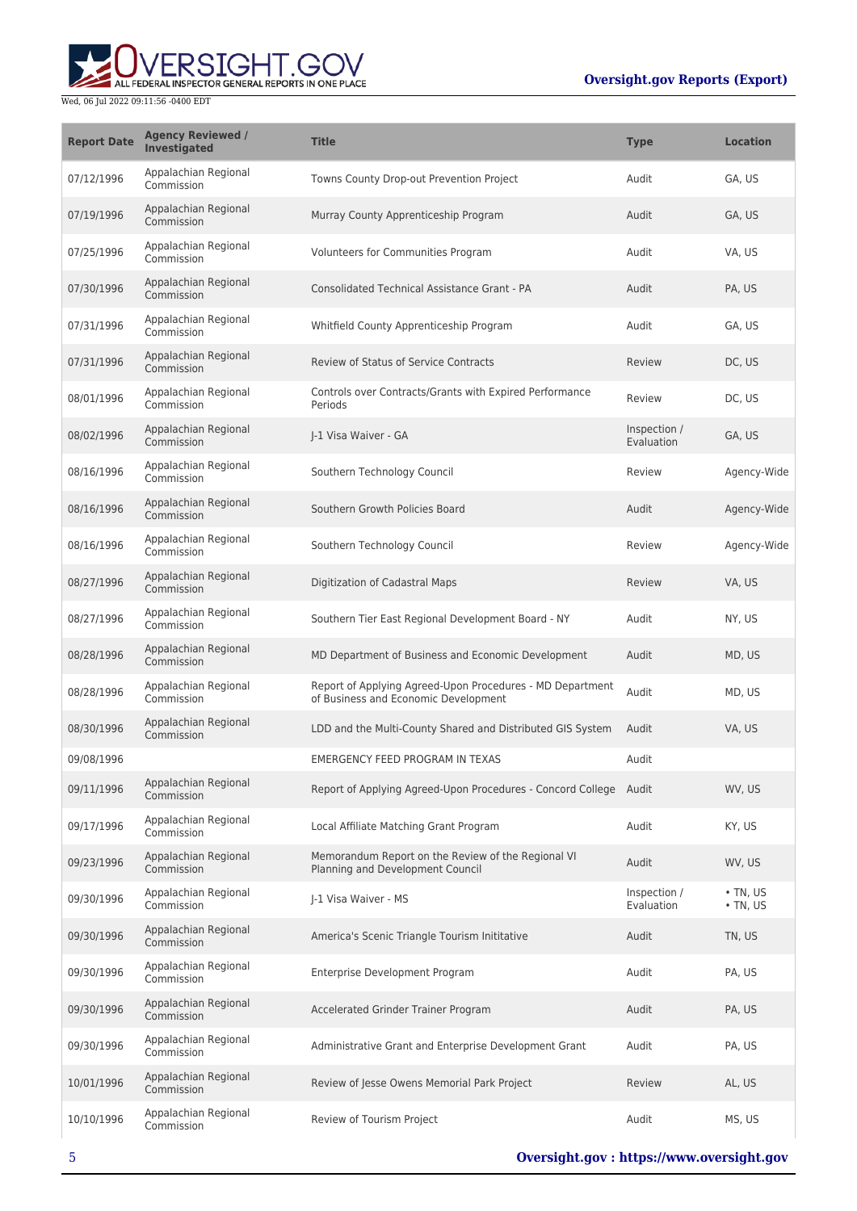

| <b>Report Date</b> | <b>Agency Reviewed /</b><br>Investigated | <b>Title</b>                                                                                      | <b>Type</b>                | <b>Location</b>                  |
|--------------------|------------------------------------------|---------------------------------------------------------------------------------------------------|----------------------------|----------------------------------|
| 07/12/1996         | Appalachian Regional<br>Commission       | Towns County Drop-out Prevention Project                                                          | Audit                      | GA, US                           |
| 07/19/1996         | Appalachian Regional<br>Commission       | Murray County Apprenticeship Program                                                              | Audit                      | GA, US                           |
| 07/25/1996         | Appalachian Regional<br>Commission       | Volunteers for Communities Program                                                                | Audit                      | VA, US                           |
| 07/30/1996         | Appalachian Regional<br>Commission       | Consolidated Technical Assistance Grant - PA                                                      | Audit                      | PA, US                           |
| 07/31/1996         | Appalachian Regional<br>Commission       | Whitfield County Apprenticeship Program                                                           | Audit                      | GA, US                           |
| 07/31/1996         | Appalachian Regional<br>Commission       | <b>Review of Status of Service Contracts</b>                                                      | Review                     | DC, US                           |
| 08/01/1996         | Appalachian Regional<br>Commission       | Controls over Contracts/Grants with Expired Performance<br>Periods                                | Review                     | DC, US                           |
| 08/02/1996         | Appalachian Regional<br>Commission       | I-1 Visa Waiver - GA                                                                              | Inspection /<br>Evaluation | GA, US                           |
| 08/16/1996         | Appalachian Regional<br>Commission       | Southern Technology Council                                                                       | Review                     | Agency-Wide                      |
| 08/16/1996         | Appalachian Regional<br>Commission       | Southern Growth Policies Board                                                                    | Audit                      | Agency-Wide                      |
| 08/16/1996         | Appalachian Regional<br>Commission       | Southern Technology Council                                                                       | Review                     | Agency-Wide                      |
| 08/27/1996         | Appalachian Regional<br>Commission       | Digitization of Cadastral Maps                                                                    | Review                     | VA, US                           |
| 08/27/1996         | Appalachian Regional<br>Commission       | Southern Tier East Regional Development Board - NY                                                | Audit                      | NY, US                           |
| 08/28/1996         | Appalachian Regional<br>Commission       | MD Department of Business and Economic Development                                                | Audit                      | MD, US                           |
| 08/28/1996         | Appalachian Regional<br>Commission       | Report of Applying Agreed-Upon Procedures - MD Department<br>of Business and Economic Development | Audit                      | MD, US                           |
| 08/30/1996         | Appalachian Regional<br>Commission       | LDD and the Multi-County Shared and Distributed GIS System                                        | Audit                      | VA, US                           |
| 09/08/1996         |                                          | EMERGENCY FEED PROGRAM IN TEXAS                                                                   | Audit                      |                                  |
| 09/11/1996         | Appalachian Regional<br>Commission       | Report of Applying Agreed-Upon Procedures - Concord College Audit                                 |                            | WV, US                           |
| 09/17/1996         | Appalachian Regional<br>Commission       | Local Affiliate Matching Grant Program                                                            | Audit                      | KY, US                           |
| 09/23/1996         | Appalachian Regional<br>Commission       | Memorandum Report on the Review of the Regional VI<br>Planning and Development Council            | Audit                      | WV, US                           |
| 09/30/1996         | Appalachian Regional<br>Commission       | J-1 Visa Waiver - MS                                                                              | Inspection /<br>Evaluation | $\cdot$ TN, US<br>$\cdot$ TN, US |
| 09/30/1996         | Appalachian Regional<br>Commission       | America's Scenic Triangle Tourism Inititative                                                     | Audit                      | TN, US                           |
| 09/30/1996         | Appalachian Regional<br>Commission       | Enterprise Development Program                                                                    | Audit                      | PA, US                           |
| 09/30/1996         | Appalachian Regional<br>Commission       | Accelerated Grinder Trainer Program                                                               | Audit                      | PA, US                           |
| 09/30/1996         | Appalachian Regional<br>Commission       | Administrative Grant and Enterprise Development Grant                                             | Audit                      | PA, US                           |
| 10/01/1996         | Appalachian Regional<br>Commission       | Review of Jesse Owens Memorial Park Project                                                       | Review                     | AL, US                           |
| 10/10/1996         | Appalachian Regional<br>Commission       | Review of Tourism Project                                                                         | Audit                      | MS, US                           |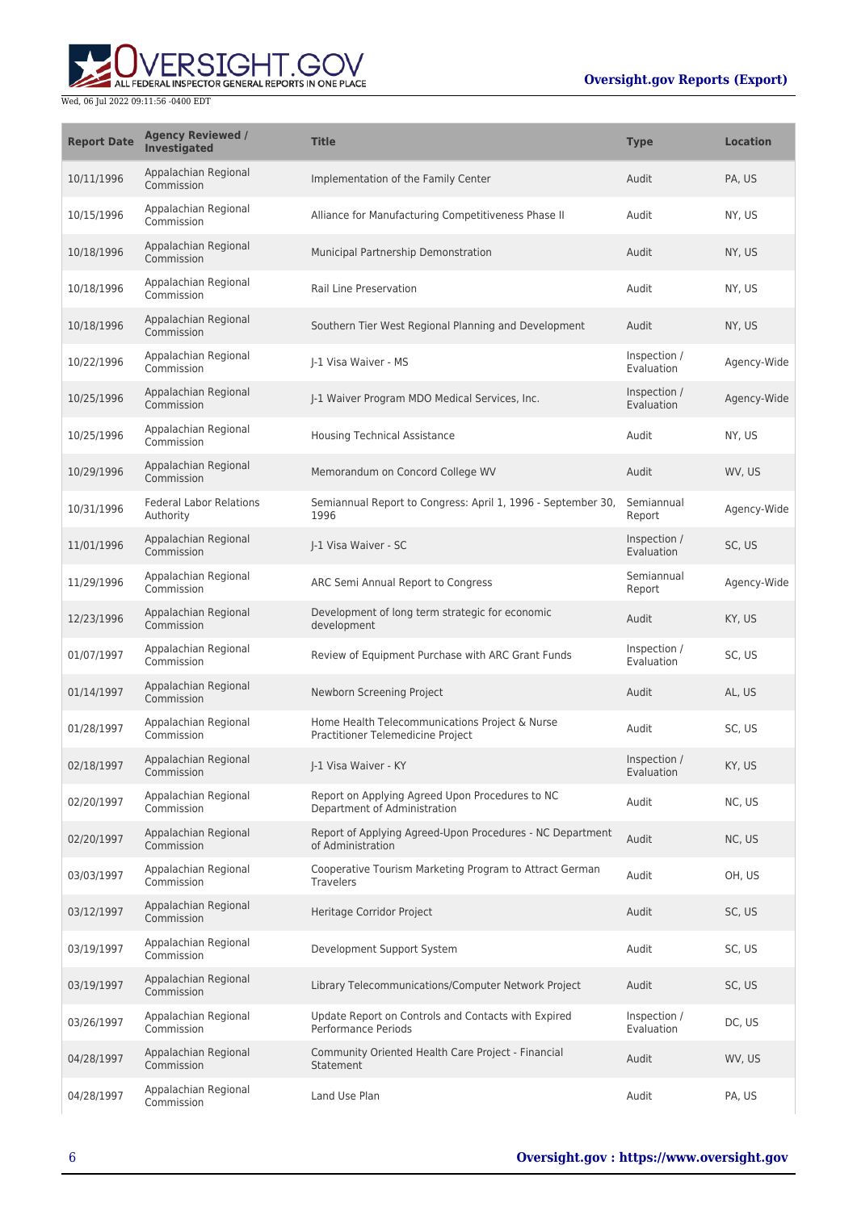

| <b>Report Date</b> | <b>Agency Reviewed /</b><br>Investigated    | <b>Title</b>                                                                        | <b>Type</b>                | <b>Location</b> |
|--------------------|---------------------------------------------|-------------------------------------------------------------------------------------|----------------------------|-----------------|
| 10/11/1996         | Appalachian Regional<br>Commission          | Implementation of the Family Center                                                 | Audit                      | PA, US          |
| 10/15/1996         | Appalachian Regional<br>Commission          | Alliance for Manufacturing Competitiveness Phase II                                 | Audit                      | NY, US          |
| 10/18/1996         | Appalachian Regional<br>Commission          | Municipal Partnership Demonstration                                                 | Audit                      | NY, US          |
| 10/18/1996         | Appalachian Regional<br>Commission          | Rail Line Preservation                                                              | Audit                      | NY, US          |
| 10/18/1996         | Appalachian Regional<br>Commission          | Southern Tier West Regional Planning and Development                                | Audit                      | NY, US          |
| 10/22/1996         | Appalachian Regional<br>Commission          | J-1 Visa Waiver - MS                                                                | Inspection /<br>Evaluation | Agency-Wide     |
| 10/25/1996         | Appalachian Regional<br>Commission          | J-1 Waiver Program MDO Medical Services, Inc.                                       | Inspection /<br>Evaluation | Agency-Wide     |
| 10/25/1996         | Appalachian Regional<br>Commission          | <b>Housing Technical Assistance</b>                                                 | Audit                      | NY, US          |
| 10/29/1996         | Appalachian Regional<br>Commission          | Memorandum on Concord College WV                                                    | Audit                      | WV, US          |
| 10/31/1996         | <b>Federal Labor Relations</b><br>Authority | Semiannual Report to Congress: April 1, 1996 - September 30,<br>1996                | Semiannual<br>Report       | Agency-Wide     |
| 11/01/1996         | Appalachian Regional<br>Commission          | J-1 Visa Waiver - SC                                                                | Inspection /<br>Evaluation | SC, US          |
| 11/29/1996         | Appalachian Regional<br>Commission          | ARC Semi Annual Report to Congress                                                  | Semiannual<br>Report       | Agency-Wide     |
| 12/23/1996         | Appalachian Regional<br>Commission          | Development of long term strategic for economic<br>development                      | Audit                      | KY, US          |
| 01/07/1997         | Appalachian Regional<br>Commission          | Review of Equipment Purchase with ARC Grant Funds                                   | Inspection /<br>Evaluation | SC, US          |
| 01/14/1997         | Appalachian Regional<br>Commission          | Newborn Screening Project                                                           | Audit                      | AL, US          |
| 01/28/1997         | Appalachian Regional<br>Commission          | Home Health Telecommunications Project & Nurse<br>Practitioner Telemedicine Project | Audit                      | SC, US          |
| 02/18/1997         | Appalachian Regional<br>Commission          | J-1 Visa Waiver - KY                                                                | Inspection /<br>Evaluation | KY, US          |
| 02/20/1997         | Appalachian Regional<br>Commission          | Report on Applying Agreed Upon Procedures to NC<br>Department of Administration     | Audit                      | NC, US          |
| 02/20/1997         | Appalachian Regional<br>Commission          | Report of Applying Agreed-Upon Procedures - NC Department<br>of Administration      | Audit                      | NC, US          |
| 03/03/1997         | Appalachian Regional<br>Commission          | Cooperative Tourism Marketing Program to Attract German<br><b>Travelers</b>         | Audit                      | OH, US          |
| 03/12/1997         | Appalachian Regional<br>Commission          | Heritage Corridor Project                                                           | Audit                      | SC, US          |
| 03/19/1997         | Appalachian Regional<br>Commission          | Development Support System                                                          | Audit                      | SC, US          |
| 03/19/1997         | Appalachian Regional<br>Commission          | Library Telecommunications/Computer Network Project                                 | Audit                      | SC, US          |
| 03/26/1997         | Appalachian Regional<br>Commission          | Update Report on Controls and Contacts with Expired<br>Performance Periods          | Inspection /<br>Evaluation | DC, US          |
| 04/28/1997         | Appalachian Regional<br>Commission          | Community Oriented Health Care Project - Financial<br>Statement                     | Audit                      | WV, US          |
| 04/28/1997         | Appalachian Regional<br>Commission          | Land Use Plan                                                                       | Audit                      | PA, US          |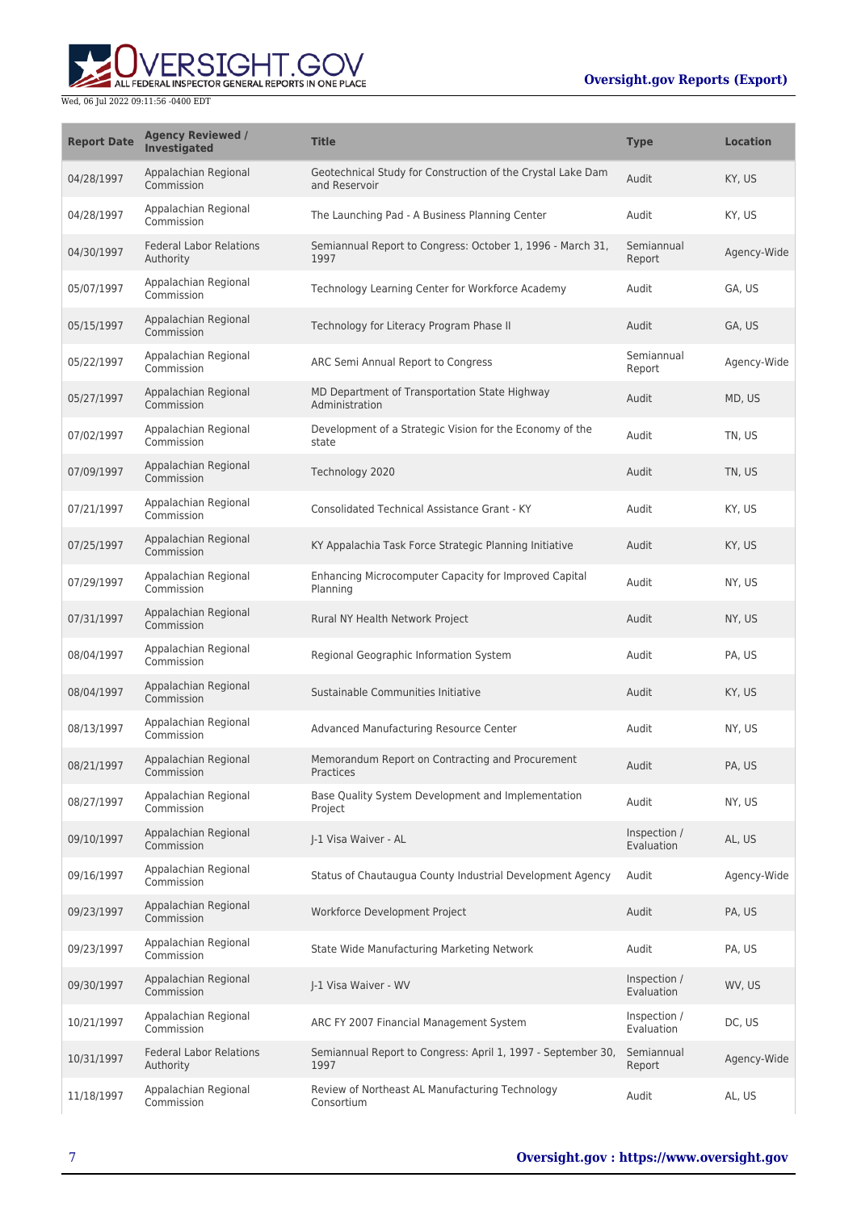ALL FEDERAL INSPECTOR GENERAL REPORTS IN ONE PLACE

| <b>Report Date</b> | <b>Agency Reviewed /</b><br><b>Investigated</b> | <b>Title</b>                                                                 | <b>Type</b>                | <b>Location</b> |
|--------------------|-------------------------------------------------|------------------------------------------------------------------------------|----------------------------|-----------------|
| 04/28/1997         | Appalachian Regional<br>Commission              | Geotechnical Study for Construction of the Crystal Lake Dam<br>and Reservoir | Audit                      | KY, US          |
| 04/28/1997         | Appalachian Regional<br>Commission              | The Launching Pad - A Business Planning Center                               | Audit                      | KY, US          |
| 04/30/1997         | <b>Federal Labor Relations</b><br>Authority     | Semiannual Report to Congress: October 1, 1996 - March 31,<br>1997           | Semiannual<br>Report       | Agency-Wide     |
| 05/07/1997         | Appalachian Regional<br>Commission              | Technology Learning Center for Workforce Academy                             | Audit                      | GA, US          |
| 05/15/1997         | Appalachian Regional<br>Commission              | Technology for Literacy Program Phase II                                     | Audit                      | GA, US          |
| 05/22/1997         | Appalachian Regional<br>Commission              | ARC Semi Annual Report to Congress                                           | Semiannual<br>Report       | Agency-Wide     |
| 05/27/1997         | Appalachian Regional<br>Commission              | MD Department of Transportation State Highway<br>Administration              | Audit                      | MD, US          |
| 07/02/1997         | Appalachian Regional<br>Commission              | Development of a Strategic Vision for the Economy of the<br>state            | Audit                      | TN, US          |
| 07/09/1997         | Appalachian Regional<br>Commission              | Technology 2020                                                              | Audit                      | TN, US          |
| 07/21/1997         | Appalachian Regional<br>Commission              | Consolidated Technical Assistance Grant - KY                                 | Audit                      | KY. US          |
| 07/25/1997         | Appalachian Regional<br>Commission              | KY Appalachia Task Force Strategic Planning Initiative                       | Audit                      | KY, US          |
| 07/29/1997         | Appalachian Regional<br>Commission              | Enhancing Microcomputer Capacity for Improved Capital<br>Planning            | Audit                      | NY, US          |
| 07/31/1997         | Appalachian Regional<br>Commission              | Rural NY Health Network Project                                              | Audit                      | NY, US          |
| 08/04/1997         | Appalachian Regional<br>Commission              | Regional Geographic Information System                                       | Audit                      | PA, US          |
| 08/04/1997         | Appalachian Regional<br>Commission              | Sustainable Communities Initiative                                           | Audit                      | KY, US          |
| 08/13/1997         | Appalachian Regional<br>Commission              | Advanced Manufacturing Resource Center                                       | Audit                      | NY, US          |
| 08/21/1997         | Appalachian Regional<br>Commission              | Memorandum Report on Contracting and Procurement<br>Practices                | Audit                      | PA, US          |
| 08/27/1997         | Appalachian Regional<br>Commission              | Base Quality System Development and Implementation<br>Project                | Audit                      | NY, US          |
| 09/10/1997         | Appalachian Regional<br>Commission              | I-1 Visa Waiver - AL                                                         | Inspection /<br>Evaluation | AL, US          |
| 09/16/1997         | Appalachian Regional<br>Commission              | Status of Chautauqua County Industrial Development Agency                    | Audit                      | Agency-Wide     |
| 09/23/1997         | Appalachian Regional<br>Commission              | Workforce Development Project                                                | Audit                      | PA, US          |
| 09/23/1997         | Appalachian Regional<br>Commission              | State Wide Manufacturing Marketing Network                                   | Audit                      | PA, US          |
| 09/30/1997         | Appalachian Regional<br>Commission              | J-1 Visa Waiver - WV                                                         | Inspection /<br>Evaluation | WV, US          |
| 10/21/1997         | Appalachian Regional<br>Commission              | ARC FY 2007 Financial Management System                                      | Inspection /<br>Evaluation | DC, US          |
| 10/31/1997         | <b>Federal Labor Relations</b><br>Authority     | Semiannual Report to Congress: April 1, 1997 - September 30,<br>1997         | Semiannual<br>Report       | Agency-Wide     |
| 11/18/1997         | Appalachian Regional<br>Commission              | Review of Northeast AL Manufacturing Technology<br>Consortium                | Audit                      | AL, US          |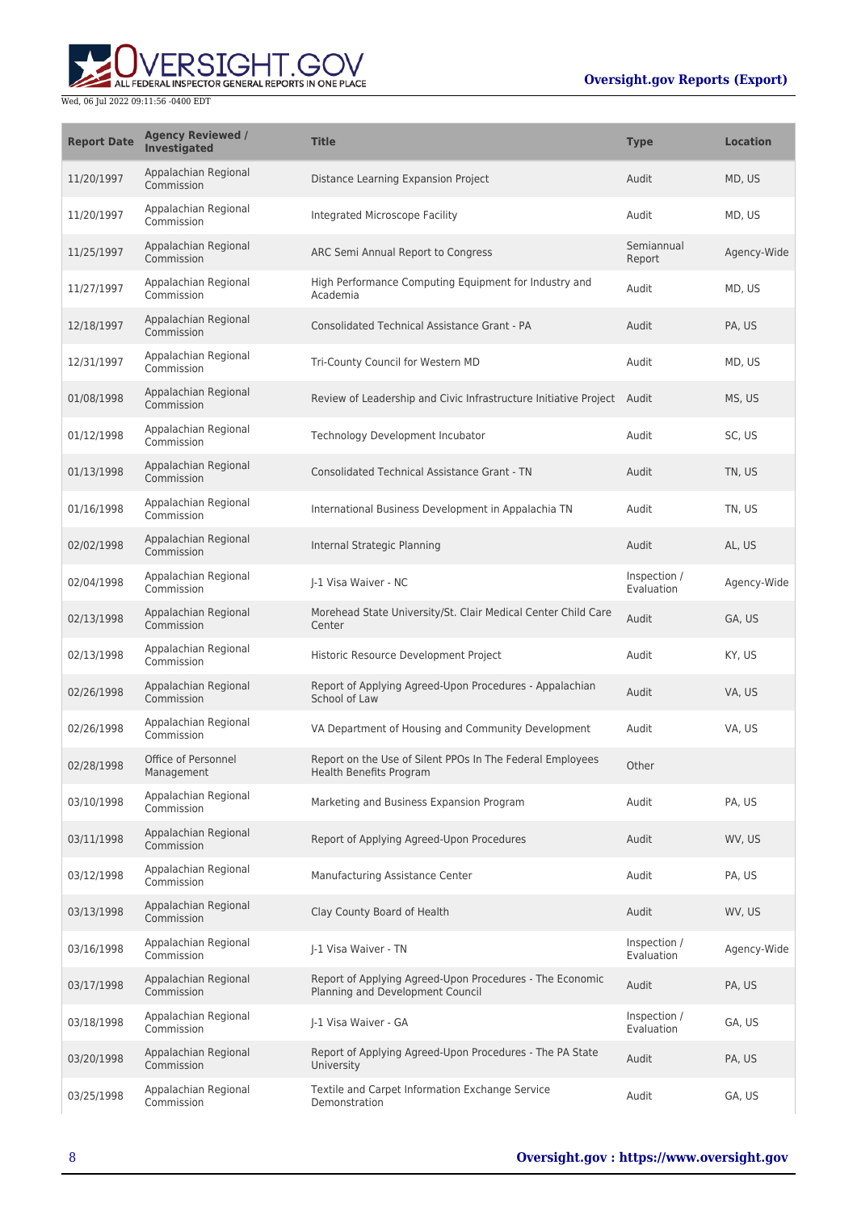

| <b>Report Date</b> | <b>Agency Reviewed /</b><br><b>Investigated</b> | <b>Title</b>                                                                                 | <b>Type</b>                | <b>Location</b> |
|--------------------|-------------------------------------------------|----------------------------------------------------------------------------------------------|----------------------------|-----------------|
| 11/20/1997         | Appalachian Regional<br>Commission              | Distance Learning Expansion Project                                                          | Audit                      | MD, US          |
| 11/20/1997         | Appalachian Regional<br>Commission              | Integrated Microscope Facility                                                               | Audit                      | MD, US          |
| 11/25/1997         | Appalachian Regional<br>Commission              | ARC Semi Annual Report to Congress                                                           | Semiannual<br>Report       | Agency-Wide     |
| 11/27/1997         | Appalachian Regional<br>Commission              | High Performance Computing Equipment for Industry and<br>Academia                            | Audit                      | MD, US          |
| 12/18/1997         | Appalachian Regional<br>Commission              | Consolidated Technical Assistance Grant - PA                                                 | Audit                      | PA, US          |
| 12/31/1997         | Appalachian Regional<br>Commission              | Tri-County Council for Western MD                                                            | Audit                      | MD, US          |
| 01/08/1998         | Appalachian Regional<br>Commission              | Review of Leadership and Civic Infrastructure Initiative Project Audit                       |                            | MS, US          |
| 01/12/1998         | Appalachian Regional<br>Commission              | Technology Development Incubator                                                             | Audit                      | SC, US          |
| 01/13/1998         | Appalachian Regional<br>Commission              | <b>Consolidated Technical Assistance Grant - TN</b>                                          | Audit                      | TN, US          |
| 01/16/1998         | Appalachian Regional<br>Commission              | International Business Development in Appalachia TN                                          | Audit                      | TN, US          |
| 02/02/1998         | Appalachian Regional<br>Commission              | Internal Strategic Planning                                                                  | Audit                      | AL, US          |
| 02/04/1998         | Appalachian Regional<br>Commission              | J-1 Visa Waiver - NC                                                                         | Inspection /<br>Evaluation | Agency-Wide     |
| 02/13/1998         | Appalachian Regional<br>Commission              | Morehead State University/St. Clair Medical Center Child Care<br>Center                      | Audit                      | GA, US          |
| 02/13/1998         | Appalachian Regional<br>Commission              | Historic Resource Development Project                                                        | Audit                      | KY, US          |
| 02/26/1998         | Appalachian Regional<br>Commission              | Report of Applying Agreed-Upon Procedures - Appalachian<br>School of Law                     | Audit                      | VA, US          |
| 02/26/1998         | Appalachian Regional<br>Commission              | VA Department of Housing and Community Development                                           | Audit                      | VA, US          |
| 02/28/1998         | Office of Personnel<br>Management               | Report on the Use of Silent PPOs In The Federal Employees<br>Health Benefits Program         | Other                      |                 |
| 03/10/1998         | Appalachian Regional<br>Commission              | Marketing and Business Expansion Program                                                     | Audit                      | PA. US          |
| 03/11/1998         | Appalachian Regional<br>Commission              | Report of Applying Agreed-Upon Procedures                                                    | Audit                      | WV, US          |
| 03/12/1998         | Appalachian Regional<br>Commission              | Manufacturing Assistance Center                                                              | Audit                      | PA, US          |
| 03/13/1998         | Appalachian Regional<br>Commission              | Clay County Board of Health                                                                  | Audit                      | WV, US          |
| 03/16/1998         | Appalachian Regional<br>Commission              | J-1 Visa Waiver - TN                                                                         | Inspection /<br>Evaluation | Agency-Wide     |
| 03/17/1998         | Appalachian Regional<br>Commission              | Report of Applying Agreed-Upon Procedures - The Economic<br>Planning and Development Council | Audit                      | PA, US          |
| 03/18/1998         | Appalachian Regional<br>Commission              | J-1 Visa Waiver - GA                                                                         | Inspection /<br>Evaluation | GA, US          |
| 03/20/1998         | Appalachian Regional<br>Commission              | Report of Applying Agreed-Upon Procedures - The PA State<br>University                       | Audit                      | PA, US          |
| 03/25/1998         | Appalachian Regional<br>Commission              | Textile and Carpet Information Exchange Service<br>Demonstration                             | Audit                      | GA, US          |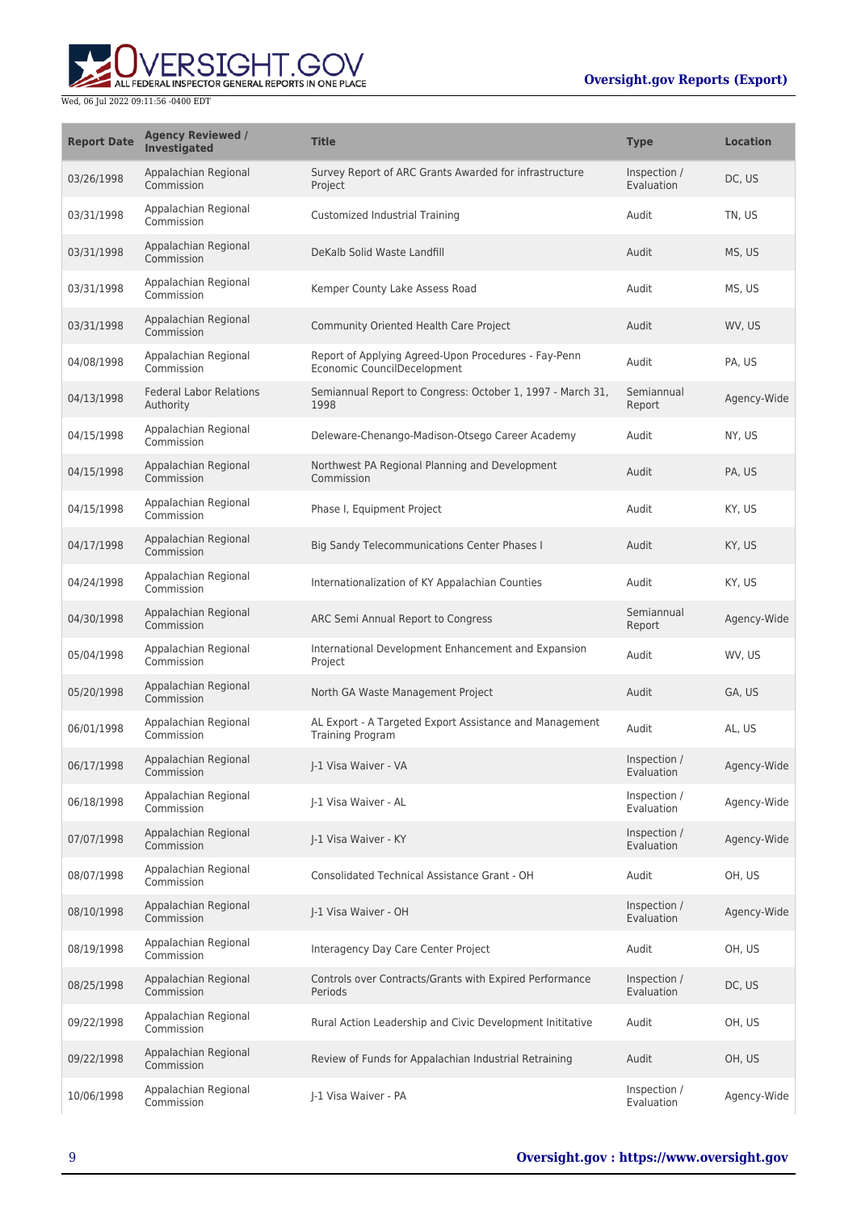

| <b>Report Date</b> | <b>Agency Reviewed /</b><br><b>Investigated</b> | <b>Title</b>                                                                        | <b>Type</b>                | <b>Location</b> |
|--------------------|-------------------------------------------------|-------------------------------------------------------------------------------------|----------------------------|-----------------|
| 03/26/1998         | Appalachian Regional<br>Commission              | Survey Report of ARC Grants Awarded for infrastructure<br>Project                   | Inspection /<br>Evaluation | DC, US          |
| 03/31/1998         | Appalachian Regional<br>Commission              | Customized Industrial Training                                                      | Audit                      | TN, US          |
| 03/31/1998         | Appalachian Regional<br>Commission              | DeKalb Solid Waste Landfill                                                         | Audit                      | MS, US          |
| 03/31/1998         | Appalachian Regional<br>Commission              | Kemper County Lake Assess Road                                                      | Audit                      | MS, US          |
| 03/31/1998         | Appalachian Regional<br>Commission              | Community Oriented Health Care Project                                              | Audit                      | WV, US          |
| 04/08/1998         | Appalachian Regional<br>Commission              | Report of Applying Agreed-Upon Procedures - Fay-Penn<br>Economic CouncilDecelopment | Audit                      | PA, US          |
| 04/13/1998         | <b>Federal Labor Relations</b><br>Authority     | Semiannual Report to Congress: October 1, 1997 - March 31,<br>1998                  | Semiannual<br>Report       | Agency-Wide     |
| 04/15/1998         | Appalachian Regional<br>Commission              | Deleware-Chenango-Madison-Otsego Career Academy                                     | Audit                      | NY, US          |
| 04/15/1998         | Appalachian Regional<br>Commission              | Northwest PA Regional Planning and Development<br>Commission                        | Audit                      | PA, US          |
| 04/15/1998         | Appalachian Regional<br>Commission              | Phase I, Equipment Project                                                          | Audit                      | KY, US          |
| 04/17/1998         | Appalachian Regional<br>Commission              | Big Sandy Telecommunications Center Phases I                                        | Audit                      | KY, US          |
| 04/24/1998         | Appalachian Regional<br>Commission              | Internationalization of KY Appalachian Counties                                     | Audit                      | KY, US          |
| 04/30/1998         | Appalachian Regional<br>Commission              | ARC Semi Annual Report to Congress                                                  | Semiannual<br>Report       | Agency-Wide     |
| 05/04/1998         | Appalachian Regional<br>Commission              | International Development Enhancement and Expansion<br>Project                      | Audit                      | WV, US          |
| 05/20/1998         | Appalachian Regional<br>Commission              | North GA Waste Management Project                                                   | Audit                      | GA, US          |
| 06/01/1998         | Appalachian Regional<br>Commission              | AL Export - A Targeted Export Assistance and Management<br><b>Training Program</b>  | Audit                      | AL, US          |
| 06/17/1998         | Appalachian Regional<br>Commission              | I-1 Visa Waiver - VA                                                                | Inspection /<br>Evaluation | Agency-Wide     |
| 06/18/1998         | Appalachian Regional<br>Commission              | J-1 Visa Waiver - AL                                                                | Inspection /<br>Evaluation | Agency-Wide     |
| 07/07/1998         | Appalachian Regional<br>Commission              | I-1 Visa Waiver - KY                                                                | Inspection /<br>Evaluation | Agency-Wide     |
| 08/07/1998         | Appalachian Regional<br>Commission              | Consolidated Technical Assistance Grant - OH                                        | Audit                      | OH, US          |
| 08/10/1998         | Appalachian Regional<br>Commission              | J-1 Visa Waiver - OH                                                                | Inspection /<br>Evaluation | Agency-Wide     |
| 08/19/1998         | Appalachian Regional<br>Commission              | Interagency Day Care Center Project                                                 | Audit                      | OH, US          |
| 08/25/1998         | Appalachian Regional<br>Commission              | Controls over Contracts/Grants with Expired Performance<br>Periods                  | Inspection /<br>Evaluation | DC, US          |
| 09/22/1998         | Appalachian Regional<br>Commission              | Rural Action Leadership and Civic Development Inititative                           | Audit                      | OH, US          |
| 09/22/1998         | Appalachian Regional<br>Commission              | Review of Funds for Appalachian Industrial Retraining                               | Audit                      | OH, US          |
| 10/06/1998         | Appalachian Regional<br>Commission              | J-1 Visa Waiver - PA                                                                | Inspection /<br>Evaluation | Agency-Wide     |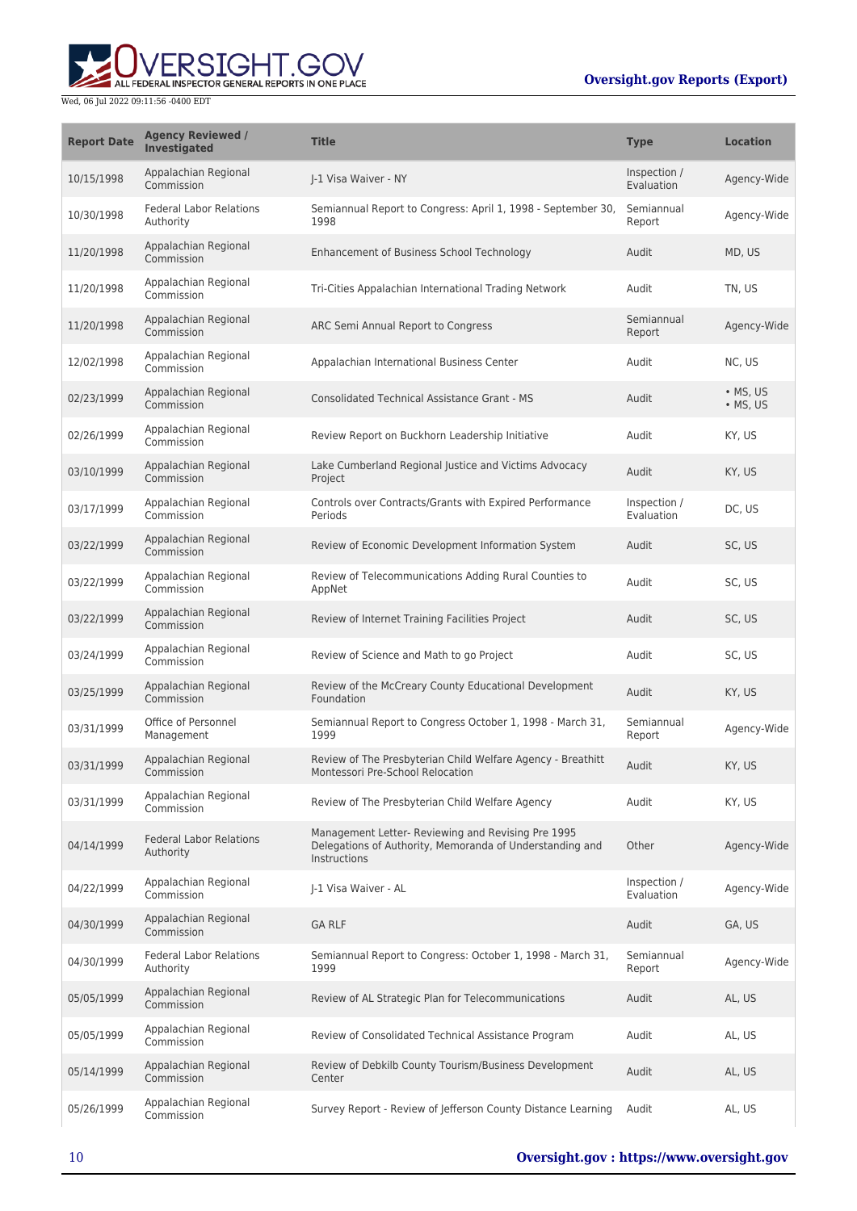# ERSIGHT.GOV ALL FEDERAL INSPECTOR GENERAL REPORTS IN ONE PLACE

| <b>Report Date</b> | <b>Agency Reviewed /</b><br><b>Investigated</b> | <b>Title</b>                                                                                                                   | <b>Type</b>                | <b>Location</b>              |
|--------------------|-------------------------------------------------|--------------------------------------------------------------------------------------------------------------------------------|----------------------------|------------------------------|
| 10/15/1998         | Appalachian Regional<br>Commission              | I-1 Visa Waiver - NY                                                                                                           | Inspection /<br>Evaluation | Agency-Wide                  |
| 10/30/1998         | <b>Federal Labor Relations</b><br>Authority     | Semiannual Report to Congress: April 1, 1998 - September 30,<br>1998                                                           | Semiannual<br>Report       | Agency-Wide                  |
| 11/20/1998         | Appalachian Regional<br>Commission              | Enhancement of Business School Technology                                                                                      | Audit                      | MD, US                       |
| 11/20/1998         | Appalachian Regional<br>Commission              | Tri-Cities Appalachian International Trading Network                                                                           | Audit                      | TN, US                       |
| 11/20/1998         | Appalachian Regional<br>Commission              | ARC Semi Annual Report to Congress                                                                                             | Semiannual<br>Report       | Agency-Wide                  |
| 12/02/1998         | Appalachian Regional<br>Commission              | Appalachian International Business Center                                                                                      | Audit                      | NC, US                       |
| 02/23/1999         | Appalachian Regional<br>Commission              | <b>Consolidated Technical Assistance Grant - MS</b>                                                                            | Audit                      | • MS, US<br>$\bullet$ MS, US |
| 02/26/1999         | Appalachian Regional<br>Commission              | Review Report on Buckhorn Leadership Initiative                                                                                | Audit                      | KY, US                       |
| 03/10/1999         | Appalachian Regional<br>Commission              | Lake Cumberland Regional Justice and Victims Advocacy<br>Project                                                               | Audit                      | KY, US                       |
| 03/17/1999         | Appalachian Regional<br>Commission              | Controls over Contracts/Grants with Expired Performance<br>Periods                                                             | Inspection /<br>Evaluation | DC, US                       |
| 03/22/1999         | Appalachian Regional<br>Commission              | Review of Economic Development Information System                                                                              | Audit                      | SC, US                       |
| 03/22/1999         | Appalachian Regional<br>Commission              | Review of Telecommunications Adding Rural Counties to<br>AppNet                                                                | Audit                      | SC, US                       |
| 03/22/1999         | Appalachian Regional<br>Commission              | Review of Internet Training Facilities Project                                                                                 | Audit                      | SC, US                       |
| 03/24/1999         | Appalachian Regional<br>Commission              | Review of Science and Math to go Project                                                                                       | Audit                      | SC, US                       |
| 03/25/1999         | Appalachian Regional<br>Commission              | Review of the McCreary County Educational Development<br>Foundation                                                            | Audit                      | KY, US                       |
| 03/31/1999         | Office of Personnel<br>Management               | Semiannual Report to Congress October 1, 1998 - March 31,<br>1999                                                              | Semiannual<br>Report       | Agency-Wide                  |
| 03/31/1999         | Appalachian Regional<br>Commission              | Review of The Presbyterian Child Welfare Agency - Breathitt<br>Montessori Pre-School Relocation                                | Audit                      | KY, US                       |
| 03/31/1999         | Appalachian Regional<br>Commission              | Review of The Presbyterian Child Welfare Agency                                                                                | Audit                      | KY, US                       |
| 04/14/1999         | <b>Federal Labor Relations</b><br>Authority     | Management Letter- Reviewing and Revising Pre 1995<br>Delegations of Authority, Memoranda of Understanding and<br>Instructions | Other                      | Agency-Wide                  |
| 04/22/1999         | Appalachian Regional<br>Commission              | J-1 Visa Waiver - AL                                                                                                           | Inspection /<br>Evaluation | Agency-Wide                  |
| 04/30/1999         | Appalachian Regional<br>Commission              | <b>GA RLF</b>                                                                                                                  | Audit                      | GA, US                       |
| 04/30/1999         | <b>Federal Labor Relations</b><br>Authority     | Semiannual Report to Congress: October 1, 1998 - March 31,<br>1999                                                             | Semiannual<br>Report       | Agency-Wide                  |
| 05/05/1999         | Appalachian Regional<br>Commission              | Review of AL Strategic Plan for Telecommunications                                                                             | Audit                      | AL, US                       |
| 05/05/1999         | Appalachian Regional<br>Commission              | Review of Consolidated Technical Assistance Program                                                                            | Audit                      | AL, US                       |
| 05/14/1999         | Appalachian Regional<br>Commission              | Review of Debkilb County Tourism/Business Development<br>Center                                                                | Audit                      | AL, US                       |
| 05/26/1999         | Appalachian Regional<br>Commission              | Survey Report - Review of Jefferson County Distance Learning                                                                   | Audit                      | AL, US                       |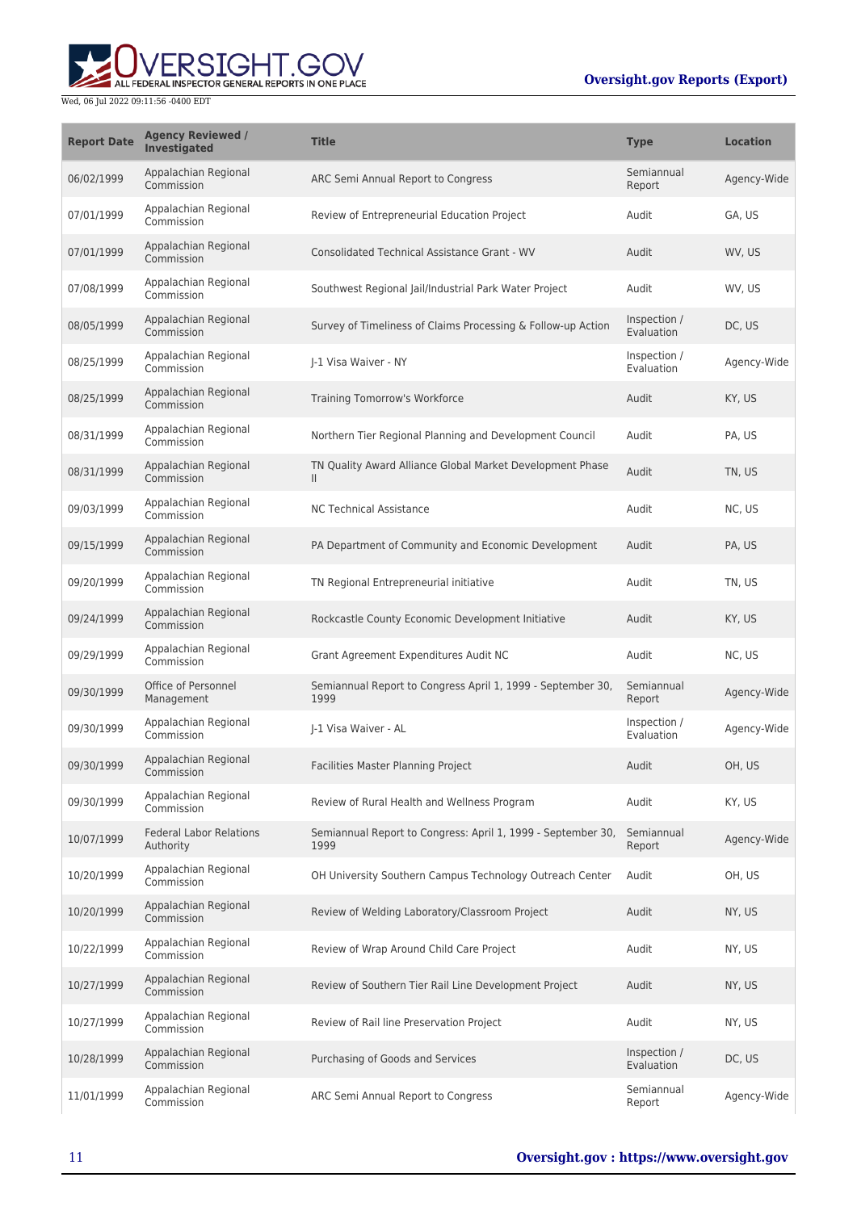# ALL FEDERAL INSPECTOR GENERAL REPORTS IN ONE PLACE

| <b>Report Date</b> | <b>Agency Reviewed /</b><br><b>Investigated</b> | <b>Title</b>                                                              | <b>Type</b>                | <b>Location</b> |
|--------------------|-------------------------------------------------|---------------------------------------------------------------------------|----------------------------|-----------------|
| 06/02/1999         | Appalachian Regional<br>Commission              | ARC Semi Annual Report to Congress                                        | Semiannual<br>Report       | Agency-Wide     |
| 07/01/1999         | Appalachian Regional<br>Commission              | Review of Entrepreneurial Education Project                               | Audit                      | GA, US          |
| 07/01/1999         | Appalachian Regional<br>Commission              | <b>Consolidated Technical Assistance Grant - WV</b>                       | Audit                      | WV, US          |
| 07/08/1999         | Appalachian Regional<br>Commission              | Southwest Regional Jail/Industrial Park Water Project                     | Audit                      | WV, US          |
| 08/05/1999         | Appalachian Regional<br>Commission              | Survey of Timeliness of Claims Processing & Follow-up Action              | Inspection /<br>Evaluation | DC, US          |
| 08/25/1999         | Appalachian Regional<br>Commission              | J-1 Visa Waiver - NY                                                      | Inspection /<br>Evaluation | Agency-Wide     |
| 08/25/1999         | Appalachian Regional<br>Commission              | Training Tomorrow's Workforce                                             | Audit                      | KY, US          |
| 08/31/1999         | Appalachian Regional<br>Commission              | Northern Tier Regional Planning and Development Council                   | Audit                      | PA, US          |
| 08/31/1999         | Appalachian Regional<br>Commission              | TN Quality Award Alliance Global Market Development Phase<br>$\mathbf{H}$ | Audit                      | TN, US          |
| 09/03/1999         | Appalachian Regional<br>Commission              | <b>NC Technical Assistance</b>                                            | Audit                      | NC, US          |
| 09/15/1999         | Appalachian Regional<br>Commission              | PA Department of Community and Economic Development                       | Audit                      | PA, US          |
| 09/20/1999         | Appalachian Regional<br>Commission              | TN Regional Entrepreneurial initiative                                    | Audit                      | TN, US          |
| 09/24/1999         | Appalachian Regional<br>Commission              | Rockcastle County Economic Development Initiative                         | Audit                      | KY, US          |
| 09/29/1999         | Appalachian Regional<br>Commission              | Grant Agreement Expenditures Audit NC                                     | Audit                      | NC, US          |
| 09/30/1999         | Office of Personnel<br>Management               | Semiannual Report to Congress April 1, 1999 - September 30,<br>1999       | Semiannual<br>Report       | Agency-Wide     |
| 09/30/1999         | Appalachian Regional<br>Commission              | J-1 Visa Waiver - AL                                                      | Inspection /<br>Evaluation | Agency-Wide     |
| 09/30/1999         | Appalachian Regional<br>Commission              | Facilities Master Planning Project                                        | Audit                      | OH, US          |
| 09/30/1999         | Appalachian Regional<br>Commission              | Review of Rural Health and Wellness Program                               | Audit                      | KY, US          |
| 10/07/1999         | <b>Federal Labor Relations</b><br>Authority     | Semiannual Report to Congress: April 1, 1999 - September 30,<br>1999      | Semiannual<br>Report       | Agency-Wide     |
| 10/20/1999         | Appalachian Regional<br>Commission              | OH University Southern Campus Technology Outreach Center                  | Audit                      | OH, US          |
| 10/20/1999         | Appalachian Regional<br>Commission              | Review of Welding Laboratory/Classroom Project                            | Audit                      | NY, US          |
| 10/22/1999         | Appalachian Regional<br>Commission              | Review of Wrap Around Child Care Project                                  | Audit                      | NY, US          |
| 10/27/1999         | Appalachian Regional<br>Commission              | Review of Southern Tier Rail Line Development Project                     | Audit                      | NY, US          |
| 10/27/1999         | Appalachian Regional<br>Commission              | Review of Rail line Preservation Project                                  | Audit                      | NY, US          |
| 10/28/1999         | Appalachian Regional<br>Commission              | Purchasing of Goods and Services                                          | Inspection /<br>Evaluation | DC, US          |
| 11/01/1999         | Appalachian Regional<br>Commission              | ARC Semi Annual Report to Congress                                        | Semiannual<br>Report       | Agency-Wide     |